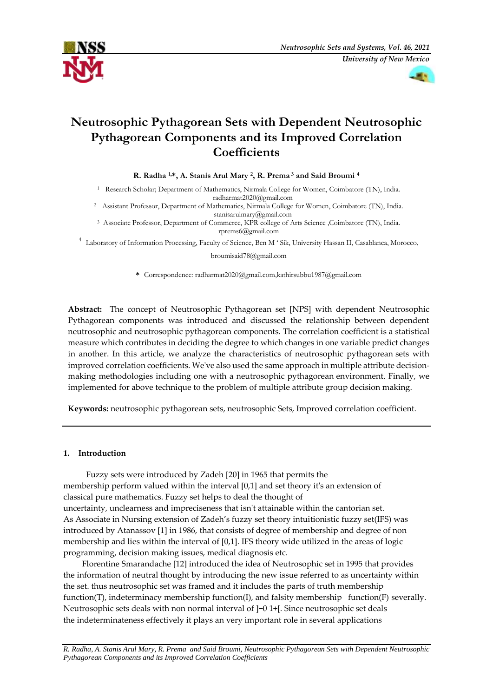



# **Neutrosophic Pythagorean Sets with Dependent Neutrosophic Pythagorean Components and its Improved Correlation Coefficients**

**R. Radha 1,\*, A. Stanis Arul Mary <sup>2</sup> , R. Prema <sup>3</sup> and Said Broumi <sup>4</sup>**

<sup>1</sup> Research Scholar; Department of Mathematics, Nirmala College for Women, Coimbatore (TN), India. radharmat2020@gmail.com

<sup>2</sup> Assistant Professor, Department of Mathematics, Nirmala College for Women, Coimbatore (TN), India. [stanisarulmary@gmail.com](mailto:stanisarulmary@gmail.com)

<sup>3</sup> Associate Professor, Department of Commerce, KPR college of Arts Science ,Coimbatore (TN), India. [rprems6@gmail.com](mailto:rprems6@gmail.com)

<sup>4</sup>Laboratory of Information Processing, Faculty of Science, Ben M ' Sik, University Hassan II, Casablanca, Morocco,

#### broumisaid78@gmail.com

**\*** Correspondence[: radharmat2020@gmail.com,k](mailto:radharmat2020@gmail.com)athirsubbu1987@gmail.com

**Abstract:** The concept of Neutrosophic Pythagorean set [NPS] with dependent Neutrosophic Pythagorean components was introduced and discussed the relationship between dependent neutrosophic and neutrosophic pythagorean components. The correlation coefficient is a statistical measure which contributes in deciding the degree to which changes in one variable predict changes in another. In this article, we analyze the characteristics of neutrosophic pythagorean sets with improved correlation coefficients. We've also used the same approach in multiple attribute decisionmaking methodologies including one with a neutrosophic pythagorean environment. Finally, we implemented for above technique to the problem of multiple attribute group decision making.

**Keywords:** neutrosophic pythagorean sets, neutrosophic Sets, Improved correlation coefficient.

# **1. Introduction**

Fuzzy sets were introduced by Zadeh [20] in 1965 that permits the membership perform valued within the interval [0,1] and set theory it's an extension of classical pure mathematics. Fuzzy set helps to deal the thought of uncertainty, unclearness and impreciseness that isn't attainable within the cantorian set. As Associate in Nursing extension of Zadeh's fuzzy set theory intuitionistic fuzzy set(IFS) was introduced by Atanassov [1] in 1986, that consists of degree of membership and degree of non membership and lies within the interval of [0,1]. IFS theory wide utilized in the areas of logic programming, decision making issues, medical diagnosis etc.

 Florentine Smarandache [12] introduced the idea of Neutrosophic set in 1995 that provides the information of neutral thought by introducing the new issue referred to as uncertainty within the set. thus neutrosophic set was framed and it includes the parts of truth membership function(T), indeterminacy membership function(I), and falsity membership function(F) severally. Neutrosophic sets deals with non normal interval of ]−0 1+[. Since neutrosophic set deals the indeterminateness effectively it plays an very important role in several applications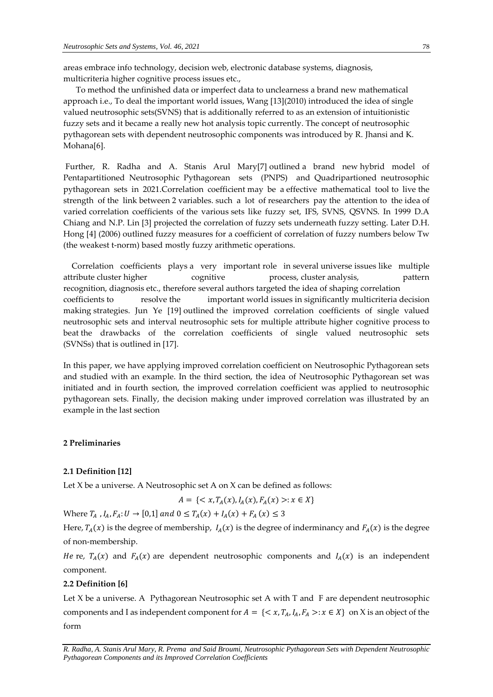To method the unfinished data or imperfect data to unclearness a brand new mathematical approach i.e., To deal the important world issues, Wang [13](2010) introduced the idea of single valued neutrosophic sets(SVNS) that is additionally referred to as an extension of intuitionistic fuzzy sets and it became a really new hot analysis topic currently. The concept of neutrosophic pythagorean sets with dependent neutrosophic components was introduced by R. Jhansi and K. Mohana[6].

Further, R. Radha and A. Stanis Arul Mary[7] outlined a brand new hybrid model of Pentapartitioned Neutrosophic Pythagorean sets (PNPS) and Quadripartioned neutrosophic pythagorean sets in 2021.Correlation coefficient may be a effective mathematical tool to live the strength of the link between 2 variables. such a lot of researchers pay the attention to the idea of varied correlation coefficients of the various sets like fuzzy set, IFS, SVNS, QSVNS. In 1999 D.A Chiang and N.P. Lin [3] projected the correlation of fuzzy sets underneath fuzzy setting. Later D.H. Hong [4] (2006) outlined fuzzy measures for a coefficient of correlation of fuzzy numbers below Tw (the weakest t-norm) based mostly fuzzy arithmetic operations.

 Correlation coefficients plays a very important role in several universe issues like multiple attribute cluster higher cognitive process, cluster analysis, pattern recognition, diagnosis etc., therefore several authors targeted the idea of shaping correlation coefficients to resolve the important world issues in significantly multicriteria decision making strategies. Jun Ye [19] outlined the improved correlation coefficients of single valued neutrosophic sets and interval neutrosophic sets for multiple attribute higher cognitive process to beat the drawbacks of the correlation coefficients of single valued neutrosophic sets (SVNSs) that is outlined in [17].

In this paper, we have applying improved correlation coefficient on Neutrosophic Pythagorean sets and studied with an example. In the third section, the idea of Neutrosophic Pythagorean set was initiated and in fourth section, the improved correlation coefficient was applied to neutrosophic pythagorean sets. Finally, the decision making under improved correlation was illustrated by an example in the last section

# **2 Preliminaries**

# **2.1 Definition [12]**

Let X be a universe. A Neutrosophic set A on X can be defined as follows:

$$
A = \{ \langle x, T_A(x), I_A(x), F_A(x) \rangle : x \in X \}
$$

Where  $T_A$ ,  $I_A$ ,  $F_A$ :  $U \to [0,1]$  and  $0 \le T_A(x) + I_A(x) + F_A(x) \le 3$ 

Here,  $T_A(x)$  is the degree of membership,  $I_A(x)$  is the degree of inderminancy and  $F_A(x)$  is the degree of non-membership.

He re,  $T_A(x)$  and  $F_A(x)$  are dependent neutrosophic components and  $I_A(x)$  is an independent component.

#### **2.2 Definition [6]**

Let X be a universe. A Pythagorean Neutrosophic set A with T and F are dependent neutrosophic components and I as independent component for  $A = \{ \langle x, T_A, I_A, F_A \rangle : x \in X \}$  on X is an object of the form

*R. Radha, A. Stanis Arul Mary, R. Prema and Said Broumi, Neutrosophic Pythagorean Sets with Dependent Neutrosophic Pythagorean Components and its Improved Correlation Coefficients*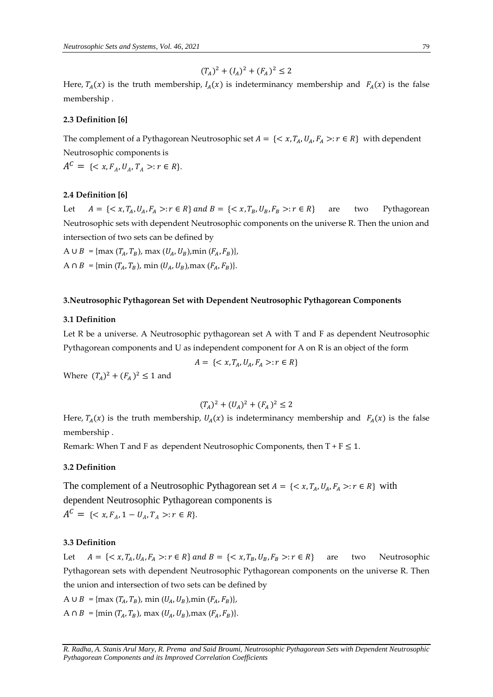$$
(T_A)^2 + (I_A)^2 + (F_A)^2 \le 2
$$

Here,  $T_A(x)$  is the truth membership,  $I_A(x)$  is indeterminancy membership and  $F_A(x)$  is the false membership .

#### **2.3 Definition [6]**

The complement of a Pythagorean Neutrosophic set  $A = \{ \langle x, T_A, U_A, F_A \rangle : r \in R \}$  with dependent Neutrosophic components is  $A^C = \{ \langle x, F_A, U_A, T_A \rangle : r \in R \}.$ 

# **2.4 Definition [6]**

Let  $A = \{ \langle x, T_A, U_A, F_A \rangle : r \in R \}$  and  $B = \{ \langle x, T_B, U_B, F_B \rangle : r \in R \}$  are two Pythagorean Neutrosophic sets with dependent Neutrosophic components on the universe R. Then the union and intersection of two sets can be defined by

A ∪  $B = \{ \max(T_A, T_B), \max(U_A, U_B), \min(F_A, F_B) \},\}$ A  $\cap$  B = {min  $(T_A, T_B)$ , min  $(U_A, U_B)$ , max  $(F_A, F_B)$ }.

#### **3.Neutrosophic Pythagorean Set with Dependent Neutrosophic Pythagorean Components**

# **3.1 Definition**

Let R be a universe. A Neutrosophic pythagorean set A with T and F as dependent Neutrosophic Pythagorean components and U as independent component for A on R is an object of the form

$$
A = \{ \langle x, T_A, U_A, F_A \rangle : r \in R \}
$$

Where  $(T_A)^2 + (F_A)^2 \le 1$  and

$$
(T_A)^2 + (U_A)^2 + (F_A)^2 \leq 2
$$

Here,  $T_A(x)$  is the truth membership,  $U_A(x)$  is indeterminancy membership and  $F_A(x)$  is the false membership .

Remark: When T and F as dependent Neutrosophic Components, then  $T + F \leq 1$ .

# **3.2 Definition**

The complement of a Neutrosophic Pythagorean set  $A = \{ \langle x, T_A, U_A, F_A \rangle : r \in R \}$  with dependent Neutrosophic Pythagorean components is

 $A^C = \{ \langle x, F_A, 1 - U_A, T_A \rangle : r \in R \}.$ 

# **3.3 Definition**

Let  $A = \{ \langle x, T_A, U_A, F_A \rangle : r \in R \}$  and  $B = \{ \langle x, T_B, U_B, F_B \rangle : r \in R \}$  are two Neutrosophic Pythagorean sets with dependent Neutrosophic Pythagorean components on the universe R. Then the union and intersection of two sets can be defined by

A ∪  $B = \{ \max(T_A, T_B), \min(U_A, U_B), \min(F_A, F_B) \},\$ A  $\cap$  B = {min  $(T_A, T_B)$ , max  $(U_A, U_B)$ , max  $(F_A, F_B)$ }.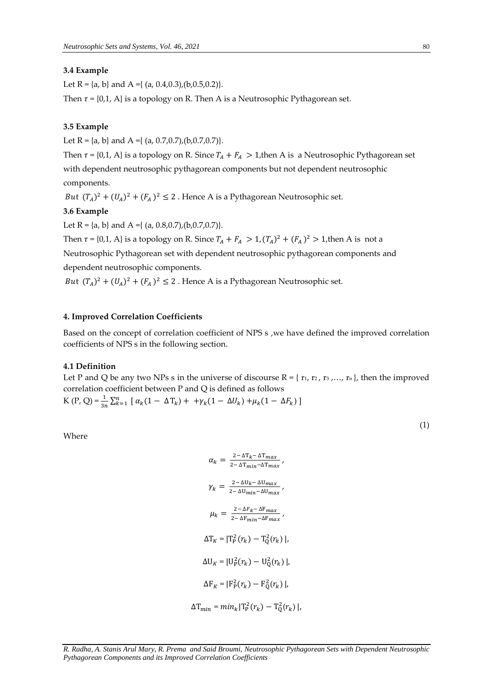# **3.4 Example**

Let R = {a, b} and A = { (a, 0.4,0.3), (b,0.5,0.2)}.

Then  $\tau$  = {0,1, A} is a topology on R. Then A is a Neutrosophic Pythagorean set.

#### **3.5 Example**

Let  $R = \{a, b\}$  and  $A = \{(a, 0.7, 0.7), (b, 0.7, 0.7)\}.$ 

Then  $\tau$  = {0,1, A} is a topology on R. Since  $T_A + F_A > 1$ , then A is a Neutrosophic Pythagorean set with dependent neutrosophic pythagorean components but not dependent neutrosophic components.

*But*  $(T_A)^2 + (U_A)^2 + (F_A)^2 \le 2$ . Hence A is a Pythagorean Neutrosophic set.

# **3.6 Example**

Let R = {a, b} and A = { (a, 0.8, 0.7), (b, 0.7, 0.7}.

Then  $\tau = \{0, 1, A\}$  is a topology on R. Since  $T_A + F_A > 1$ ,  $(T_A)^2 + (F_A)^2 > 1$ , then A is not a Neutrosophic Pythagorean set with dependent neutrosophic pythagorean components and dependent neutrosophic components.

*But*  $(T_A)^2 + (U_A)^2 + (F_A)^2 \le 2$ . Hence A is a Pythagorean Neutrosophic set.

#### **4. Improved Correlation Coefficients**

Based on the concept of correlation coefficient of NPS s , we have defined the improved correlation coefficients of NPS s in the following section.

# **4.1 Definition**

Let P and Q be any two NPs s in the universe of discourse  $R = \{r_1, r_2, r_3, ..., r_n\}$ , then the improved correlation coefficient between P and Q is defined as follows K (P, Q) =  $\frac{1}{3n} \sum_{k=1}^{n} [\alpha_k (1 - \Delta T_k) + +\gamma_k (1 - \Delta U_k) + \mu_k (1 - \Delta F_k)]$ 

Where

 $\alpha_k = \frac{2 - \Delta T_k - \Delta T_{max}}{2 - \Delta T_{max} - \Delta T_{max}}$  $\frac{2-\Delta T_{k}-\Delta T_{max}}{2-\Delta T_{min}-\Delta T_{max}}$  $\gamma_k = \frac{2-\Delta U_k - \Delta U_{max}}{2-\Delta U_{max} - \Delta U_{max}}$  $\frac{2- \Delta U_{R} \Delta U_{max}}{2-\Delta U_{min}-\Delta U_{max}}$  $\mu_k = \frac{2 - \Delta F_k - \Delta F_{max}}{2 - \Delta F_{max} - \Delta F}$  $\frac{2-\Delta F_{min}-\Delta F_{max}}{2-\Delta F_{min}-\Delta F_{max}}$  $\Delta T_K = |T_P^2(r_k) - T_Q^2(r_k)|,$  $\Delta U_K = |U_P^2(r_k) - U_Q^2(r_k)|,$  $\Delta F_K = |F_P^2(r_k) - F_Q^2(r_k)|$  $\Delta T_{min} = min_k |T_P^2(r_k) - T_Q^2(r_k)|,$ 

*R. Radha, A. Stanis Arul Mary, R. Prema and Said Broumi, Neutrosophic Pythagorean Sets with Dependent Neutrosophic Pythagorean Components and its Improved Correlation Coefficients*

(1)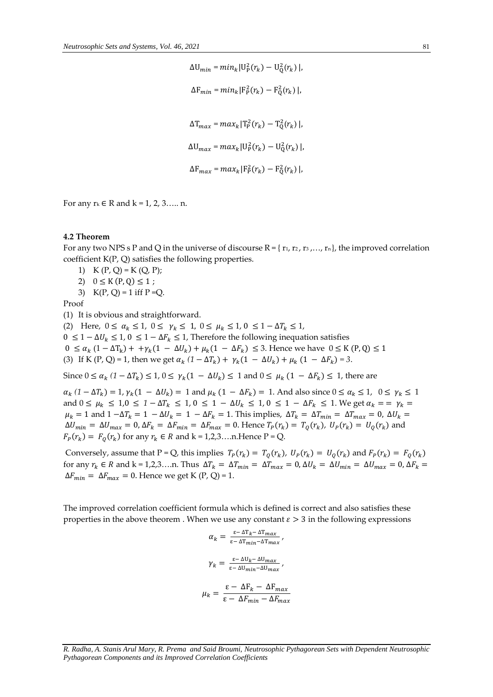$\Delta U_{min} = min_k |U_P^2(r_k) - U_Q^2(r_k)|,$  $\Delta F_{min} = min_k |F_P^2(r_k) - F_Q^2(r_k)|,$  $\Delta T_{max} = max_k |T_P^2(r_k) - T_Q^2(r_k)|,$  $\Delta U_{max} = max_k |U_P^2(r_k) - U_Q^2(r_k)|,$  $\Delta F_{max} = max_k |F_P^2(r_k) - F_Q^2(r_k)|,$ 

For any  $r_k$  ∈ R and  $k = 1, 2, 3, \ldots$  n.

#### **4.2 Theorem**

For any two NPS s P and Q in the universe of discourse  $R = \{r_1, r_2, r_3, ..., r_n\}$ , the improved correlation coefficient K(P, Q) satisfies the following properties.

1)  $K(P, Q) = K(Q, P);$ 

2)  $0 \le K(P,Q) \le 1$ ;

3)  $K(P, Q) = 1$  iff  $P = Q$ .

Proof

(1) It is obvious and straightforward.

(2) Here,  $0 \le \alpha_k \le 1$ ,  $0 \le \gamma_k \le 1$ ,  $0 \le \mu_k \le 1$ ,  $0 \le 1 - \Delta T_k \le 1$ ,

 $0 ≤ 1 - ΔU_k ≤ 1, 0 ≤ 1 - ΔF_k ≤ 1$ , Therefore the following inequation satisfies

 $0 \le \alpha_k (1 - \Delta T_k) + (\gamma_k (1 - \Delta U_k) + \mu_k (1 - \Delta F_k) \le 3$ . Hence we have  $0 \le K(P,Q) \le 1$ 

(3) If K (P, Q) = 1, then we get  $\alpha_k (1 - \Delta T_k) + \gamma_k (1 - \Delta U_k) + \mu_k (1 - \Delta F_k) = 3$ .

Since  $0 \le \alpha_k (1 - \Delta T_k) \le 1$ ,  $0 \le \gamma_k (1 - \Delta U_k) \le 1$  and  $0 \le \mu_k (1 - \Delta F_k) \le 1$ , there are

 $\alpha_k (1 - \Delta T_k) = 1$ ,  $\gamma_k (1 - \Delta U_k) = 1$  and  $\mu_k (1 - \Delta F_k) = 1$ . And also since  $0 \le \alpha_k \le 1$ ,  $0 \le \gamma_k \le 1$ and  $0 \le \mu_k \le 1, 0 \le 1 - \Delta T_k \le 1, 0 \le 1 - \Delta U_k \le 1, 0 \le 1 - \Delta F_k \le 1$ . We get  $\alpha_k = \alpha_k = \gamma_k = \alpha$  $\mu_k = 1$  and  $1 - \Delta T_k = 1 - \Delta U_k = 1 - \Delta F_k = 1$ . This implies,  $\Delta T_k = \Delta T_{min} = \Delta T_{max} = 0$ ,  $\Delta U_k =$  $\Delta U_{min} = \Delta U_{max} = 0$ ,  $\Delta F_k = \Delta F_{min} = \Delta F_{max} = 0$ . Hence  $T_P(r_k) = T_Q(r_k)$ ,  $U_P(r_k) = U_Q(r_k)$  and  $F_P(r_k) = F_Q(r_k)$  for any  $r_k \in R$  and  $k = 1, 2, 3, \dots$ n. Hence P = Q.

Conversely, assume that P = Q, this implies  $T_P(r_k) = T_Q(r_k)$ ,  $U_P(r_k) = U_Q(r_k)$  and  $F_P(r_k) = F_Q(r_k)$ for any  $r_k \in R$  and  $k = 1,2,3,...$ n. Thus  $\Delta T_k = \Delta T_{min} = \Delta T_{max} = 0$ ,  $\Delta U_k = \Delta U_{min} = \Delta U_{max} = 0$ ,  $\Delta F_k =$  $\Delta F_{min} = \Delta F_{max} = 0$ . Hence we get K (P, Q) = 1.

The improved correlation coefficient formula which is defined is correct and also satisfies these properties in the above theorem . When we use any constant  $\varepsilon > 3$  in the following expressions

$$
\alpha_k = \frac{\varepsilon - \Delta T_k - \Delta T_{max}}{\varepsilon - \Delta T_{min} - \Delta T_{max}},
$$

$$
\gamma_k = \frac{\varepsilon - \Delta U_k - \Delta U_{max}}{\varepsilon - \Delta U_{min} - \Delta U_{max}},
$$

$$
\mu_k = \frac{\varepsilon - \Delta F_k - \Delta F_{max}}{\varepsilon - \Delta F_{min} - \Delta F_{max}}
$$

*R. Radha, A. Stanis Arul Mary, R. Prema and Said Broumi, Neutrosophic Pythagorean Sets with Dependent Neutrosophic Pythagorean Components and its Improved Correlation Coefficients*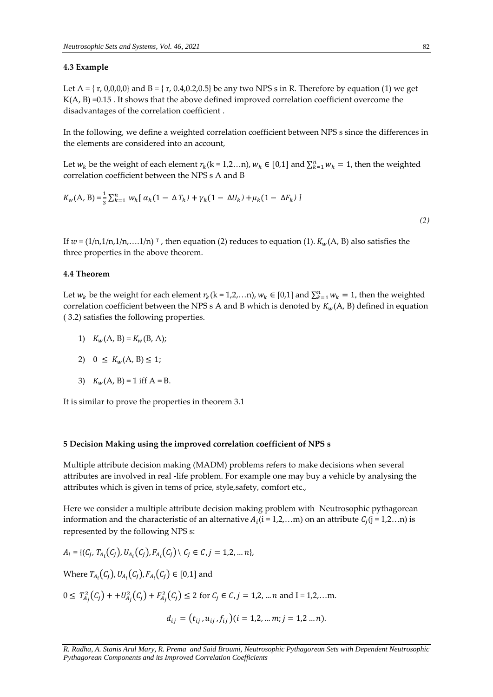# **4.3 Example**

Let A = { $r$ , 0,0,0,0} and B = { $r$ , 0.4,0.2,0.5} be any two NPS s in R. Therefore by equation (1) we get  $K(A, B) = 0.15$ . It shows that the above defined improved correlation coefficient overcome the disadvantages of the correlation coefficient .

In the following, we define a weighted correlation coefficient between NPS s since the differences in the elements are considered into an account,

Let  $w_k$  be the weight of each element  $r_k$ (k = 1,2…n),  $w_k \in [0,1]$  and  $\sum_{k=1}^n w_k = 1$ , then the weighted correlation coefficient between the NPS s A and B

$$
K_{w}(A, B) = \frac{1}{3} \sum_{k=1}^{n} w_{k} [\alpha_{k} (1 - \Delta T_{k}) + \gamma_{k} (1 - \Delta U_{k}) + \mu_{k} (1 - \Delta F_{k})]
$$

*(2)*

If  $w = (1/n, 1/n, 1/n, \ldots, 1/n)$ <sup>T</sup>, then equation (2) reduces to equation (1).  $K_w(A, B)$  also satisfies the three properties in the above theorem.

#### **4.4 Theorem**

Let  $w_k$  be the weight for each element  $r_k$ (k = 1,2,...n),  $w_k \in [0,1]$  and  $\sum_{k=1}^n w_k = 1$ , then the weighted correlation coefficient between the NPS s A and B which is denoted by  $K_w(A, B)$  defined in equation ( 3.2) satisfies the following properties.

1)  $K_w(A, B) = K_w(B, A);$ 

$$
2) \quad 0 \leq K_w(A, B) \leq 1;
$$

3)  $K_w(A, B) = 1$  iff  $A = B$ .

It is similar to prove the properties in theorem 3.1

#### **5 Decision Making using the improved correlation coefficient of NPS s**

Multiple attribute decision making (MADM) problems refers to make decisions when several attributes are involved in real -life problem. For example one may buy a vehicle by analysing the attributes which is given in tems of price, style,safety, comfort etc.,

Here we consider a multiple attribute decision making problem with Neutrosophic pythagorean information and the characteristic of an alternative  $A_i$  (i = 1,2,...m) on an attribute  $C_j$  (j = 1,2...n) is represented by the following NPS s:

$$
A_i = \{ (C_j, T_{A_i}(C_j), U_{A_i}(C_j), F_{A_i}(C_j) \mid C_j \in C, j = 1, 2, \dots n \},
$$

Where  $T_{A_i}(C_j)$ ,  $U_{A_i}(C_j)$ ,  $F_{A_i}(C_j) \in [0,1]$  and

 $0 \leq T_{A_j}^2(C_j) + U_{A_j}^2(C_j) + F_{A_j}^2(C_j) \leq 2$  for  $C_j \in C, j = 1, 2, ... n$  and  $I = 1, 2, ... m$ .

$$
d_{ij} = (t_{ij}, u_{ij}, f_{ij}) (i = 1, 2, \dots m; j = 1, 2 \dots n).
$$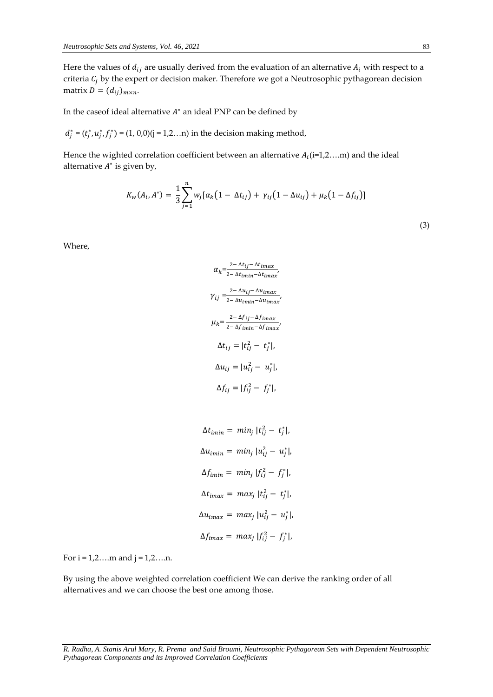Here the values of  $d_{ij}$  are usually derived from the evaluation of an alternative  $A_i$  with respect to a criteria  $C_i$  by the expert or decision maker. Therefore we got a Neutrosophic pythagorean decision matrix  $D = (d_{ij})_{m \times n}$ .

In the caseof ideal alternative  $A^*$  an ideal PNP can be defined by

 $d_j^* = (t_j^*, u_j^*, f_j^*) = (1, 0, 0)(j = 1, 2...n)$  in the decision making method,

Hence the wighted correlation coefficient between an alternative  $A_i$  (i=1,2....m) and the ideal alternative  $A^*$  is given by,

$$
K_{w}(A_{i}, A^{*}) = \frac{1}{3} \sum_{j=1}^{n} w_{j} [\alpha_{k} (1 - \Delta t_{ij}) + \gamma_{ij} (1 - \Delta u_{ij}) + \mu_{k} (1 - \Delta f_{ij})]
$$

Where,

$$
\alpha_k = \frac{2 - \Delta t_{ij} - \Delta t_{imax}}{2 - \Delta t_{imin} - \Delta t_{imax}},
$$
\n
$$
\gamma_{ij} = \frac{2 - \Delta u_{ij} - \Delta u_{imax}}{2 - \Delta u_{imin} - \Delta u_{imax}},
$$
\n
$$
\mu_k = \frac{2 - \Delta f_{ij} - \Delta f_{imax}}{2 - \Delta f_{imin} - \Delta f_{imax}},
$$
\n
$$
\Delta t_{ij} = |t_{ij}^2 - t_j^*|,
$$
\n
$$
\Delta u_{ij} = |u_{ij}^2 - u_j^*|,
$$
\n
$$
\Delta f_{ij} = |f_{ij}^2 - f_j^*|,
$$

 $\Delta t_{imin} = min_j |t_{ij}^2 - t_j^*|,$  $Δu<sub>imin</sub> = min<sub>j</sub> |u<sub>ij</sub><sup>2</sup> - u<sub>j</sub><sup>*</sup>|,$  $\Delta f_{i min} = min_j |f_{ij}^2 - f_j^*|,$  $\Delta t_{imax} = max_j |t_{ij}^2 - t_j^*|,$  $Δu_{imax} = max_j |u_{ij}^2 - u_j^*|,$  $\Delta f_{i max} = max_j |f_{ij}^2 - f_j^*|,$ 

For  $i = 1, 2, \ldots$  m and  $j = 1, 2, \ldots$ n.

By using the above weighted correlation coefficient We can derive the ranking order of all alternatives and we can choose the best one among those.

(3)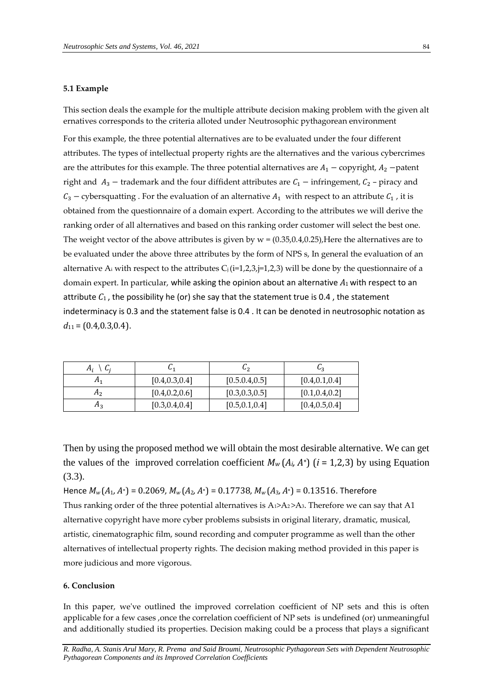# **5.1 Example**

This section deals the example for the multiple attribute decision making problem with the given alt ernatives corresponds to the criteria alloted under Neutrosophic pythagorean environment

For this example, the three potential alternatives are to be evaluated under the four different attributes. The types of intellectual property rights are the alternatives and the various cybercrimes are the attributes for this example. The three potential alternatives are  $A_1$  – copyright,  $A_2$  –patent right and  $A_3$  – trademark and the four diffident attributes are  $C_1$  – infringement,  $C_2$  – piracy and  $C_3$  – cybersquatting . For the evaluation of an alternative  $A_1$  with respect to an attribute  $C_1$ , it is obtained from the questionnaire of a domain expert. According to the attributes we will derive the ranking order of all alternatives and based on this ranking order customer will select the best one. The weight vector of the above attributes is given by  $w = (0.35, 0.4, 0.25)$ , Here the alternatives are to be evaluated under the above three attributes by the form of NPS s, In general the evaluation of an alternative A<sub>i</sub> with respect to the attributes  $C_j$  (i=1,2,3,j=1,2,3) will be done by the questionnaire of a domain expert. In particular, while asking the opinion about an alternative *A*1 with respect to an attribute  $C_1$ , the possibility he (or) she say that the statement true is 0.4, the statement indeterminacy is 0.3 and the statement false is 0.4 . It can be denoted in neutrosophic notation as *d*11 = (0*.*4*,*0*.*3*,*0*.*4).

| A <sub>i</sub><br>Ui |                 | ပြ၇             | Ⴑვ              |
|----------------------|-----------------|-----------------|-----------------|
| H <sub>1</sub>       | [0.4, 0.3, 0.4] | [0.5.0.4, 0.5]  | [0.4, 0.1, 0.4] |
| A <sub>2</sub>       | [0.4, 0.2, 0.6] | [0.3, 0.3, 0.5] | [0.1, 0.4, 0.2] |
| Λą                   | [0.3, 0.4, 0.4] | [0.5, 0.1, 0.4] | [0.4, 0.5, 0.4] |

Then by using the proposed method we will obtain the most desirable alternative. We can get the values of the improved correlation coefficient  $M_w(A_i, A^*)$  ( $i = 1,2,3$ ) by using Equation (3.3).

Hence  $M_w(A_1, A^*)$  = 0.2069,  $M_w(A_2, A^*)$  = 0.17738,  $M_w(A_3, A^*)$  = 0.13516. Therefore Thus ranking order of the three potential alternatives is  $A_1>A_2>A_3$ . Therefore we can say that A1 alternative copyright have more cyber problems subsists in original literary, dramatic, musical, artistic, cinematographic film, sound recording and computer programme as well than the other alternatives of intellectual property rights. The decision making method provided in this paper is more judicious and more vigorous.

# **6. Conclusion**

In this paper, we've outlined the improved correlation coefficient of NP sets and this is often applicable for a few cases ,once the correlation coefficient of NP sets is undefined (or) unmeaningful and additionally studied its properties. Decision making could be a process that plays a significant

*R. Radha, A. Stanis Arul Mary, R. Prema and Said Broumi, Neutrosophic Pythagorean Sets with Dependent Neutrosophic Pythagorean Components and its Improved Correlation Coefficients*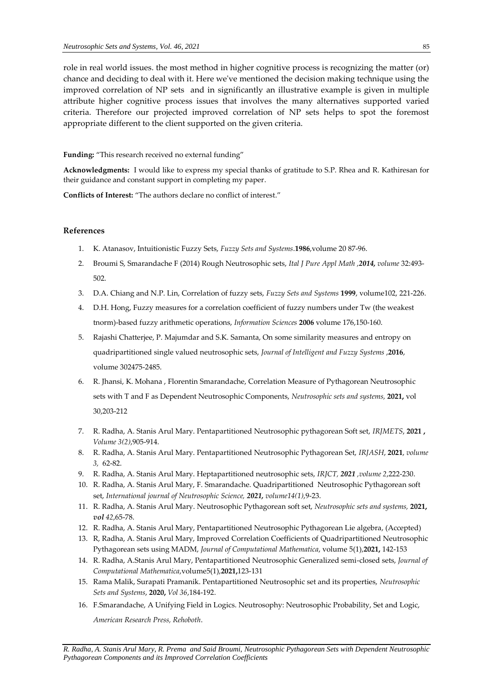role in real world issues. the most method in higher cognitive process is recognizing the matter (or) chance and deciding to deal with it. Here we've mentioned the decision making technique using the improved correlation of NP sets and in significantly an illustrative example is given in multiple attribute higher cognitive process issues that involves the many alternatives supported varied criteria. Therefore our projected improved correlation of NP sets helps to spot the foremost appropriate different to the client supported on the given criteria.

**Funding:** "This research received no external funding"

**Acknowledgments:** I would like to express my special thanks of gratitude to S.P. Rhea and R. Kathiresan for their guidance and constant support in completing my paper.

**Conflicts of Interest:** "The authors declare no conflict of interest."

### **References**

- 1. K. Atanasov, Intuitionistic Fuzzy Sets, *Fuzzy Sets and Systems*.**1986**,volume 20 87-96.
- 2. Broumi S, Smarandache F (2014) Rough Neutrosophic sets, *Ital J Pure Appl Math ,2014, volume* 32:493- 502.
- 3. D.A. Chiang and N.P. Lin, Correlation of fuzzy sets, *Fuzzy Sets and Systems* **1999**, volume102, 221-226.
- 4. D.H. Hong, Fuzzy measures for a correlation coefficient of fuzzy numbers under Tw (the weakest tnorm)-based fuzzy arithmetic operations, *Information Sciences* **2006** volume 176,150-160.
- 5. Rajashi Chatterjee, P. Majumdar and S.K. Samanta, On some similarity measures and entropy on quadripartitioned single valued neutrosophic sets, *Journal of Intelligent and Fuzzy Systems* ,**2016**, volume 302475-2485.
- 6. R. Jhansi, K. Mohana , Florentin Smarandache, Correlation Measure of Pythagorean Neutrosophic sets with T and F as Dependent Neutrosophic Components, *Neutrosophic sets and systems,* **2021,** vol 30,203-212
- 7. R. Radha, A. Stanis Arul Mary. Pentapartitioned Neutrosophic pythagorean Soft set, *IRJMETS*, **2021 ,** *Volume 3(2)*,905-914.
- 8. R. Radha, A. Stanis Arul Mary. Pentapartitioned Neutrosophic Pythagorean Set, *IRJASH*, **2021**, *volume 3,* 62-82.
- 9. R. Radha, A. Stanis Arul Mary. Heptapartitioned neutrosophic sets, *IRJCT, 2021 ,volume 2*,222-230.
- 10. R. Radha, A. Stanis Arul Mary, F. Smarandache. Quadripartitioned Neutrosophic Pythagorean soft set, *International journal of Neutrosophic Science, 2021, volume14(1)*,9-23.
- 11. R. Radha, A. Stanis Arul Mary. Neutrosophic Pythagorean soft set, *Neutrosophic sets and systems,* **2021,** *vol 42*,65-78.
- 12. R. Radha, A. Stanis Arul Mary, Pentapartitioned Neutrosophic Pythagorean Lie algebra, (Accepted)
- 13. R, Radha, A. Stanis Arul Mary, Improved Correlation Coefficients of Quadripartitioned Neutrosophic Pythagorean sets using MADM, *Journal of Computational Mathematica*, volume 5(1),**2021,** 142-153
- 14. R. Radha, A.Stanis Arul Mary, Pentapartitioned Neutrosophic Generalized semi-closed sets, *Journal of Computational Mathematica*,volume5(1),**2021,**123-131
- 15. Rama Malik, Surapati Pramanik. Pentapartitioned Neutrosophic set and its properties, *Neutrosophic Sets and Systems*, **2020,** *Vol 36*,184-192.
- 16. F.Smarandache, A Unifying Field in Logics. Neutrosophy: Neutrosophic Probability, Set and Logic, *American Research Press, Rehoboth*.